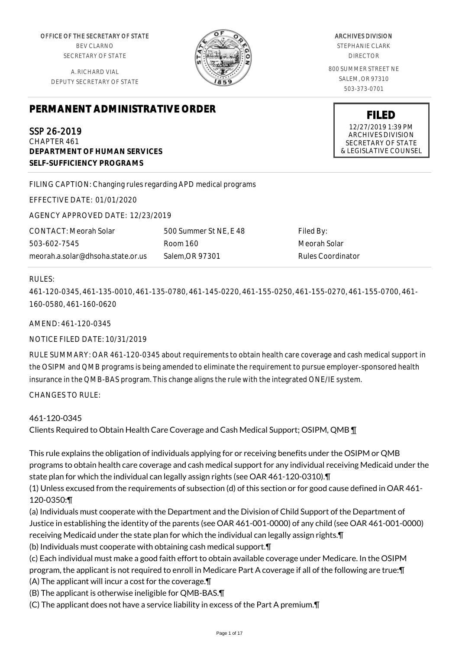OFFICE OF THE SECRETARY OF STATE BEV CLARNO SECRETARY OF STATE

A. RICHARD VIAL DEPUTY SECRETARY OF STATE



ARCHIVES DIVISION

STEPHANIE CLARK DIRECTOR

800 SUMMER STREET NE SALEM, OR 97310 503-373-0701

> **FILED** 12/27/2019 1:39 PM ARCHIVES DIVISION SECRETARY OF STATE & LEGISLATIVE COUNSEL

# **PERMANENT ADMINISTRATIVE ORDER**

SSP 26-2019 CHAPTER 461 **DEPARTMENT OF HUMAN SERVICES SELF-SUFFICIENCY PROGRAMS**

FILING CAPTION: Changing rules regarding APD medical programs

EFFECTIVE DATE: 01/01/2020

AGENCY APPROVED DATE: 12/23/2019

CONTACT: Meorah Solar 503-602-7545 meorah.a.solar@dhsoha.state.or.us

500 Summer St NE, E 48 Room 160 Salem,OR 97301

Filed By: Meorah Solar Rules Coordinator

# RULES:

461-120-0345, 461-135-0010, 461-135-0780, 461-145-0220, 461-155-0250, 461-155-0270, 461-155-0700, 461- 160-0580, 461-160-0620

AMEND: 461-120-0345

NOTICE FILED DATE: 10/31/2019

RULE SUMMARY: OAR 461-120-0345 about requirements to obtain health care coverage and cash medical support in the OSIPM and QMB programs is being amended to eliminate the requirement to pursue employer-sponsored health insurance in the QMB-BAS program. This change aligns the rule with the integrated ONE/IE system.

CHANGES TO RULE:

# 461-120-0345

Clients Required to Obtain Health Care Coverage and Cash Medical Support; OSIPM, QMB ¶

This rule explains the obligation of individuals applying for or receiving benefits under the OSIPM or QMB programs to obtain health care coverage and cash medical support for any individual receiving Medicaid under the state plan for which the individual can legally assign rights (see OAR 461-120-0310).¶

(1) Unless excused from the requirements of subsection (d) of this section or for good cause defined in OAR 461- 120-0350:¶

(a) Individuals must cooperate with the Department and the Division of Child Support of the Department of Justice in establishing the identity of the parents (see OAR 461-001-0000) of any child (see OAR 461-001-0000) receiving Medicaid under the state plan for which the individual can legally assign rights.¶

(b) Individuals must cooperate with obtaining cash medical support.¶

(c) Each individual must make a good faith effort to obtain available coverage under Medicare. In the OSIPM program, the applicant is not required to enroll in Medicare Part A coverage if all of the following are true:¶ (A) The applicant will incur a cost for the coverage.¶

(B) The applicant is otherwise ineligible for QMB-BAS.¶

(C) The applicant does not have a service liability in excess of the Part A premium.¶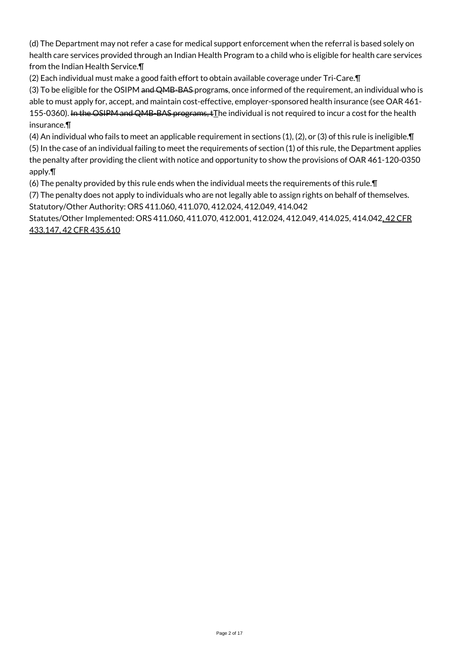(d) The Department may not refer a case for medical support enforcement when the referral is based solely on health care services provided through an Indian Health Program to a child who is eligible for health care services from the Indian Health Service.¶

(2) Each individual must make a good faith effort to obtain available coverage under Tri-Care.¶

(3) To be eligible for the OSIPM and QMB-BAS-programs, once informed of the requirement, an individual who is able to must apply for, accept, and maintain cost-effective, employer-sponsored health insurance (see OAR 461- 155-0360). In the OSIPM and QMB-BAS programs,  $t$ The individual is not required to incur a cost for the health insurance.¶

(4) An individual who fails to meet an applicable requirement in sections (1), (2), or (3) of this rule is ineligible.¶ (5) In the case of an individual failing to meet the requirements of section (1) of this rule, the Department applies the penalty after providing the client with notice and opportunity to show the provisions of OAR 461-120-0350 apply.¶

(6) The penalty provided by this rule ends when the individual meets the requirements of this rule.¶

(7) The penalty does not apply to individuals who are not legally able to assign rights on behalf of themselves. Statutory/Other Authority: ORS 411.060, 411.070, 412.024, 412.049, 414.042

Statutes/Other Implemented: ORS 411.060, 411.070, 412.001, 412.024, 412.049, 414.025, 414.042, 42 CFR 433.147, 42 CFR 435.610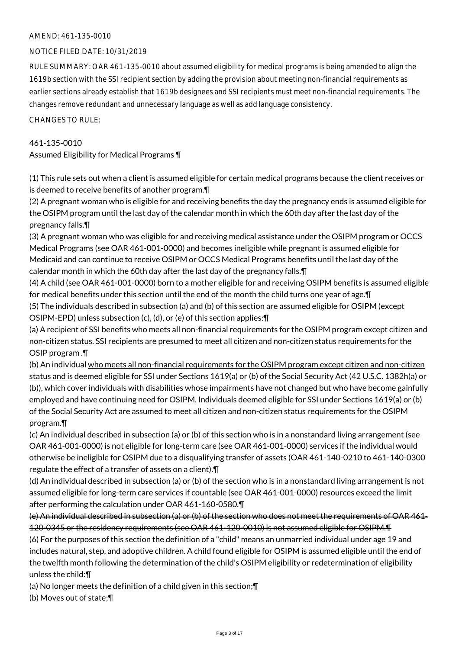# AMEND: 461-135-0010

#### NOTICE FILED DATE: 10/31/2019

RULE SUMMARY: OAR 461-135-0010 about assumed eligibility for medical programs is being amended to align the 1619b section with the SSI recipient section by adding the provision about meeting non-financial requirements as earlier sections already establish that 1619b designees and SSI recipients must meet non-financial requirements. The changes remove redundant and unnecessary language as well as add language consistency.

#### CHANGES TO RULE:

#### 461-135-0010

Assumed Eligibility for Medical Programs ¶

(1) This rule sets out when a client is assumed eligible for certain medical programs because the client receives or is deemed to receive benefits of another program.¶

(2) A pregnant woman who is eligible for and receiving benefits the day the pregnancy ends is assumed eligible for the OSIPM program until the last day of the calendar month in which the 60th day after the last day of the pregnancy falls.¶

(3) A pregnant woman who was eligible for and receiving medical assistance under the OSIPM program or OCCS Medical Programs (see OAR 461-001-0000) and becomes ineligible while pregnant is assumed eligible for Medicaid and can continue to receive OSIPM or OCCS Medical Programs benefits until the last day of the calendar month in which the 60th day after the last day of the pregnancy falls.¶

(4) A child (see OAR 461-001-0000) born to a mother eligible for and receiving OSIPM benefits is assumed eligible for medical benefits under this section until the end of the month the child turns one year of age.¶

(5) The individuals described in subsection (a) and (b) of this section are assumed eligible for OSIPM (except OSIPM-EPD) unless subsection (c), (d), or (e) of this section applies:¶

(a) A recipient of SSI benefits who meets all non-financial requirements for the OSIPM program except citizen and non-citizen status. SSI recipients are presumed to meet all citizen and non-citizen status requirements for the OSIP program .¶

(b) An individual who meets all non-financial requirements for the OSIPM program except citizen and non-citizen status and is deemed eligible for SSI under Sections 1619(a) or (b) of the Social Security Act (42 U.S.C. 1382h(a) or (b)), which cover individuals with disabilities whose impairments have not changed but who have become gainfully employed and have continuing need for OSIPM. Individuals deemed eligible for SSI under Sections 1619(a) or (b) of the Social Security Act are assumed to meet all citizen and non-citizen status requirements for the OSIPM program.¶

(c) An individual described in subsection (a) or (b) of this section who is in a nonstandard living arrangement (see OAR 461-001-0000) is not eligible for long-term care (see OAR 461-001-0000) services if the individual would otherwise be ineligible for OSIPM due to a disqualifying transfer of assets (OAR 461-140-0210 to 461-140-0300 regulate the effect of a transfer of assets on a client).¶

(d) An individual described in subsection (a) or (b) of the section who is in a nonstandard living arrangement is not assumed eligible for long-term care services if countable (see OAR 461-001-0000) resources exceed the limit after performing the calculation under OAR 461-160-0580.¶

(e) An individual described in subsection (a) or (b) of the section who does not meet the requirements of OAR 461- 120-0345 or the residency requirements (see OAR 461-120-0010) is not assumed eligible for OSIPM.¶

(6) For the purposes of this section the definition of a "child" means an unmarried individual under age 19 and includes natural, step, and adoptive children. A child found eligible for OSIPM is assumed eligible until the end of the twelfth month following the determination of the child's OSIPM eligibility or redetermination of eligibility unless the child:¶

(a) No longer meets the definition of a child given in this section;¶

(b) Moves out of state;¶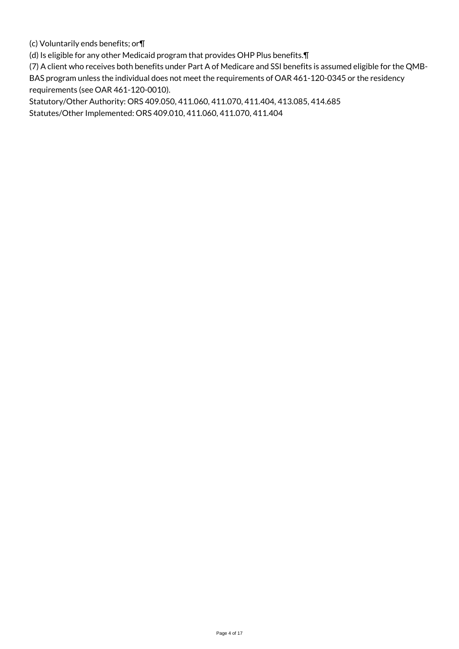(c) Voluntarily ends benefits; or¶

(d) Is eligible for any other Medicaid program that provides OHP Plus benefits.¶

(7) A client who receives both benefits under Part A of Medicare and SSI benefits is assumed eligible for the QMB-BAS program unless the individual does not meet the requirements of OAR 461-120-0345 or the residency requirements (see OAR 461-120-0010).

Statutory/Other Authority: ORS 409.050, 411.060, 411.070, 411.404, 413.085, 414.685 Statutes/Other Implemented: ORS 409.010, 411.060, 411.070, 411.404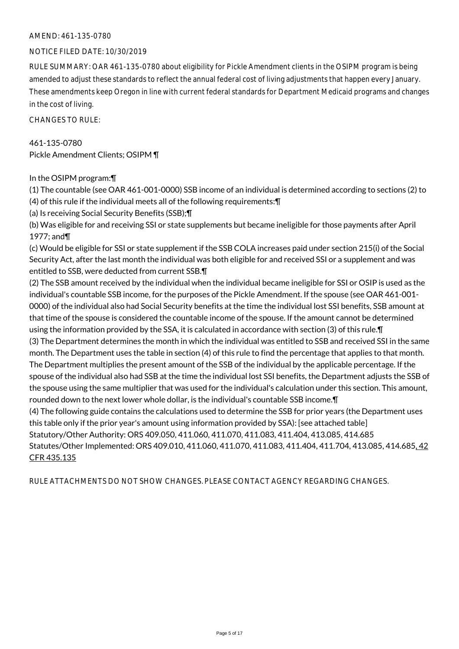# AMEND: 461-135-0780

#### NOTICE FILED DATE: 10/30/2019

RULE SUMMARY: OAR 461-135-0780 about eligibility for Pickle Amendment clients in the OSIPM program is being amended to adjust these standards to reflect the annual federal cost of living adjustments that happen every January. These amendments keep Oregon in line with current federal standards for Department Medicaid programs and changes in the cost of living.

CHANGES TO RULE:

461-135-0780 Pickle Amendment Clients; OSIPM ¶

#### In the OSIPM program:¶

(1) The countable (see OAR 461-001-0000) SSB income of an individual is determined according to sections (2) to (4) of this rule if the individual meets all of the following requirements:¶

(a) Is receiving Social Security Benefits (SSB);¶

(b) Was eligible for and receiving SSI or state supplements but became ineligible for those payments after April 1977; and¶

(c) Would be eligible for SSI or state supplement if the SSB COLA increases paid under section 215(i) of the Social Security Act, after the last month the individual was both eligible for and received SSI or a supplement and was entitled to SSB, were deducted from current SSB.¶

(2) The SSB amount received by the individual when the individual became ineligible for SSI or OSIP is used as the individual's countable SSB income, for the purposes of the Pickle Amendment. If the spouse (see OAR 461-001- 0000) of the individual also had Social Security benefits at the time the individual lost SSI benefits, SSB amount at that time of the spouse is considered the countable income of the spouse. If the amount cannot be determined using the information provided by the SSA, it is calculated in accordance with section (3) of this rule.¶ (3) The Department determines the month in which the individual was entitled to SSB and received SSI in the same month. The Department uses the table in section (4) of this rule to find the percentage that applies to that month. The Department multiplies the present amount of the SSB of the individual by the applicable percentage. If the spouse of the individual also had SSB at the time the individual lost SSI benefits, the Department adjusts the SSB of the spouse using the same multiplier that was used for the individual's calculation under this section. This amount, rounded down to the next lower whole dollar, is the individual's countable SSB income.¶ (4) The following guide contains the calculations used to determine the SSB for prior years (the Department uses this table only if the prior year's amount using information provided by SSA): [see attached table] Statutory/Other Authority: ORS 409.050, 411.060, 411.070, 411.083, 411.404, 413.085, 414.685 Statutes/Other Implemented: ORS 409.010, 411.060, 411.070, 411.083, 411.404, 411.704, 413.085, 414.685, 42 CFR 435.135

RULE ATTACHMENTS DO NOT SHOW CHANGES. PLEASE CONTACT AGENCY REGARDING CHANGES.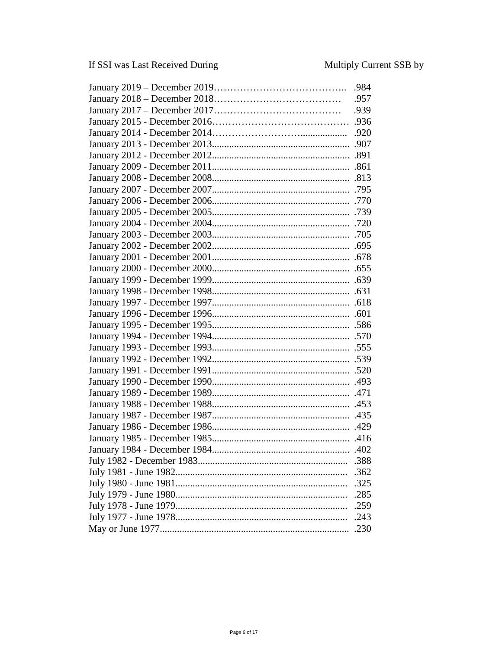| .388 |
|------|
| .362 |
| .325 |
| .285 |
| .259 |
| .243 |
| .230 |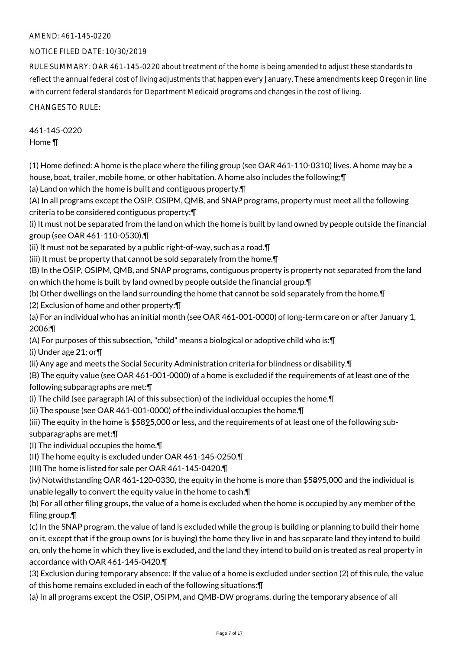# AMEND: 461-145-0220

# NOTICE FILED DATE: 10/30/2019

RULE SUMMARY: OAR 461-145-0220 about treatment of the home is being amended to adjust these standards to reflect the annual federal cost of living adjustments that happen every January. These amendments keep Oregon in line with current federal standards for Department Medicaid programs and changes in the cost of living.

CHANGES TO RULE:

461-145-0220 Home ¶

(1) Home defined: A home is the place where the filing group (see OAR 461-110-0310) lives. A home may be a house, boat, trailer, mobile home, or other habitation. A home also includes the following:¶

(a) Land on which the home is built and contiguous property.¶

(A) In all programs except the OSIP, OSIPM, QMB, and SNAP programs, property must meet all the following criteria to be considered contiguous property:¶

(i) It must not be separated from the land on which the home is built by land owned by people outside the financial group (see OAR 461-110-0530).¶

(ii) It must not be separated by a public right-of-way, such as a road.¶

(iii) It must be property that cannot be sold separately from the home.¶

(B) In the OSIP, OSIPM, QMB, and SNAP programs, contiguous property is property not separated from the land on which the home is built by land owned by people outside the financial group.¶

(b) Other dwellings on the land surrounding the home that cannot be sold separately from the home.¶

(2) Exclusion of home and other property:¶

(a) For an individual who has an initial month (see OAR 461-001-0000) of long-term care on or after January 1, 2006:¶

(A) For purposes of this subsection, "child" means a biological or adoptive child who is:¶

(i) Under age 21; or¶

(ii) Any age and meets the Social Security Administration criteria for blindness or disability.¶

(B) The equity value (see OAR 461-001-0000) of a home is excluded if the requirements of at least one of the following subparagraphs are met:¶

(i) The child (see paragraph (A) of this subsection) of the individual occupies the home.¶

(ii) The spouse (see OAR 461-001-0000) of the individual occupies the home.¶

(iii) The equity in the home is \$5825,000 or less, and the requirements of at least one of the following subsubparagraphs are met:¶

(I) The individual occupies the home.¶

(II) The home equity is excluded under OAR 461-145-0250.¶

(III) The home is listed for sale per OAR 461-145-0420.¶

(iv) Notwithstanding OAR 461-120-0330, the equity in the home is more than \$5895,000 and the individual is unable legally to convert the equity value in the home to cash.¶

(b) For all other filing groups, the value of a home is excluded when the home is occupied by any member of the filing group.¶

(c) In the SNAP program, the value of land is excluded while the group is building or planning to build their home on it, except that if the group owns (or is buying) the home they live in and has separate land they intend to build on, only the home in which they live is excluded, and the land they intend to build on is treated as real property in accordance with OAR 461-145-0420.¶

(3) Exclusion during temporary absence: If the value of a home is excluded under section (2) of this rule, the value of this home remains excluded in each of the following situations:¶

(a) In all programs except the OSIP, OSIPM, and QMB-DW programs, during the temporary absence of all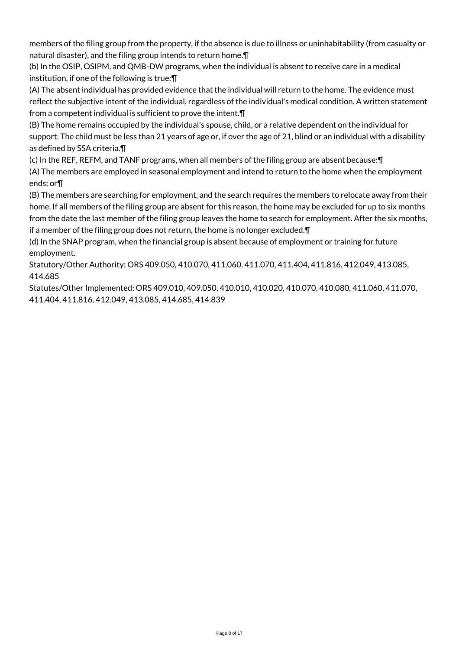members of the filing group from the property, if the absence is due to illness or uninhabitability (from casualty or natural disaster), and the filing group intends to return home.¶

(b) In the OSIP, OSIPM, and QMB-DW programs, when the individual is absent to receive care in a medical institution, if one of the following is true:¶

(A) The absent individual has provided evidence that the individual will return to the home. The evidence must reflect the subjective intent of the individual, regardless of the individual's medical condition. A written statement from a competent individual is sufficient to prove the intent.¶

(B) The home remains occupied by the individual's spouse, child, or a relative dependent on the individual for support. The child must be less than 21 years of age or, if over the age of 21, blind or an individual with a disability as defined by SSA criteria.¶

(c) In the REF, REFM, and TANF programs, when all members of the filing group are absent because:¶

(A) The members are employed in seasonal employment and intend to return to the home when the employment ends; or¶

(B) The members are searching for employment, and the search requires the members to relocate away from their home. If all members of the filing group are absent for this reason, the home may be excluded for up to six months from the date the last member of the filing group leaves the home to search for employment. After the six months, if a member of the filing group does not return, the home is no longer excluded.¶

(d) In the SNAP program, when the financial group is absent because of employment or training for future employment.

Statutory/Other Authority: ORS 409.050, 410.070, 411.060, 411.070, 411.404, 411.816, 412.049, 413.085, 414.685

Statutes/Other Implemented: ORS 409.010, 409.050, 410.010, 410.020, 410.070, 410.080, 411.060, 411.070, 411.404, 411.816, 412.049, 413.085, 414.685, 414.839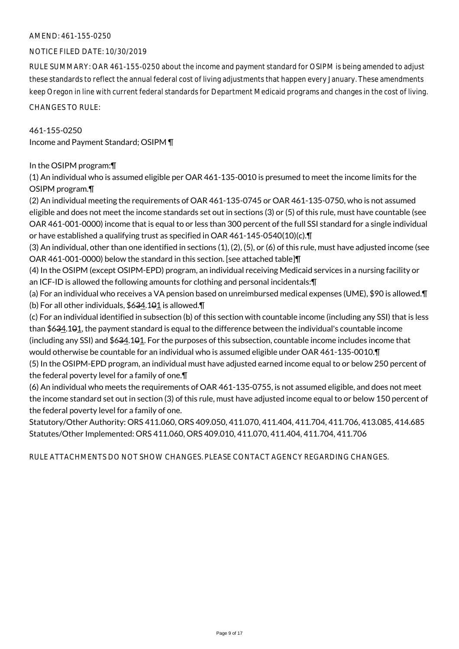# AMEND: 461-155-0250

#### NOTICE FILED DATE: 10/30/2019

RULE SUMMARY: OAR 461-155-0250 about the income and payment standard for OSIPM is being amended to adjust these standards to reflect the annual federal cost of living adjustments that happen every January. These amendments keep Oregon in line with current federal standards for Department Medicaid programs and changes in the cost of living.

CHANGES TO RULE:

# 461-155-0250

Income and Payment Standard; OSIPM ¶

# In the OSIPM program:¶

(1) An individual who is assumed eligible per OAR 461-135-0010 is presumed to meet the income limits for the OSIPM program.¶

(2) An individual meeting the requirements of OAR 461-135-0745 or OAR 461-135-0750, who is not assumed eligible and does not meet the income standards set out in sections (3) or (5) of this rule, must have countable (see OAR 461-001-0000) income that is equal to or less than 300 percent of the full SSI standard for a single individual or have established a qualifying trust as specified in OAR 461-145-0540(10)(c).¶

(3) An individual, other than one identified in sections (1), (2), (5), or (6) of this rule, must have adjusted income (see OAR 461-001-0000) below the standard in this section. [see attached table]¶

(4) In the OSIPM (except OSIPM-EPD) program, an individual receiving Medicaid services in a nursing facility or an ICF-ID is allowed the following amounts for clothing and personal incidentals:¶

(a) For an individual who receives a VA pension based on unreimbursed medical expenses (UME), \$90 is allowed.¶ (b) For all other individuals,  $$634.101$  is allowed.  $\P$ 

(c) For an individual identified in subsection (b) of this section with countable income (including any SSI) that is less than \$634.101, the payment standard is equal to the difference between the individual's countable income (including any SSI) and \$634.101. For the purposes of this subsection, countable income includes income that would otherwise be countable for an individual who is assumed eligible under OAR 461-135-0010.¶

(5) In the OSIPM-EPD program, an individual must have adjusted earned income equal to or below 250 percent of the federal poverty level for a family of one.¶

(6) An individual who meets the requirements of OAR 461-135-0755, is not assumed eligible, and does not meet the income standard set out in section (3) of this rule, must have adjusted income equal to or below 150 percent of the federal poverty level for a family of one.

Statutory/Other Authority: ORS 411.060, ORS 409.050, 411.070, 411.404, 411.704, 411.706, 413.085, 414.685 Statutes/Other Implemented: ORS 411.060, ORS 409.010, 411.070, 411.404, 411.704, 411.706

RULE ATTACHMENTS DO NOT SHOW CHANGES. PLEASE CONTACT AGENCY REGARDING CHANGES.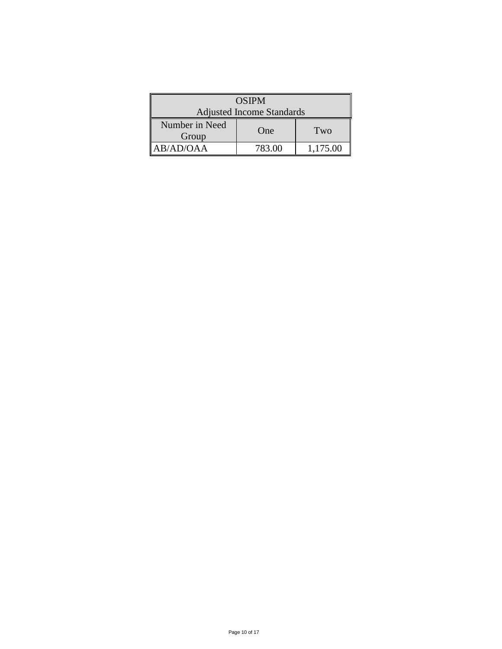| <b>OSIPM</b>                     |        |          |  |
|----------------------------------|--------|----------|--|
| <b>Adjusted Income Standards</b> |        |          |  |
| Number in Need<br>Group          | One    | Two      |  |
| AB/AD/OAA                        | 783.00 | 1,175.00 |  |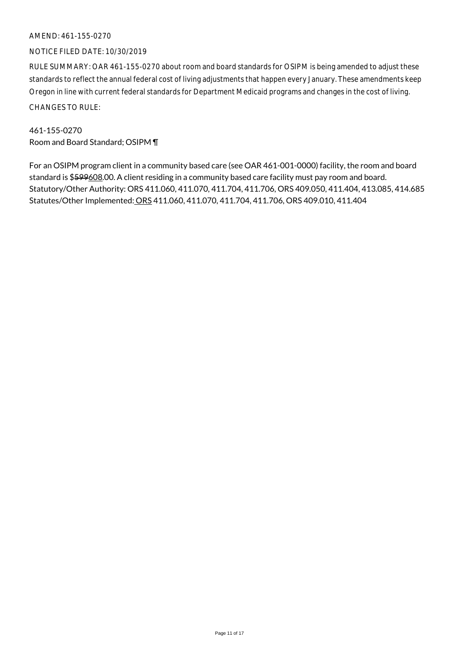# AMEND: 461-155-0270

#### NOTICE FILED DATE: 10/30/2019

RULE SUMMARY: OAR 461-155-0270 about room and board standards for OSIPM is being amended to adjust these standards to reflect the annual federal cost of living adjustments that happen every January. These amendments keep Oregon in line with current federal standards for Department Medicaid programs and changes in the cost of living. CHANGES TO RULE:

461-155-0270 Room and Board Standard; OSIPM ¶

For an OSIPM program client in a community based care (see OAR 461-001-0000) facility, the room and board standard is \$599608.00. A client residing in a community based care facility must pay room and board. Statutory/Other Authority: ORS 411.060, 411.070, 411.704, 411.706, ORS 409.050, 411.404, 413.085, 414.685 Statutes/Other Implemented: ORS 411.060, 411.070, 411.704, 411.706, ORS 409.010, 411.404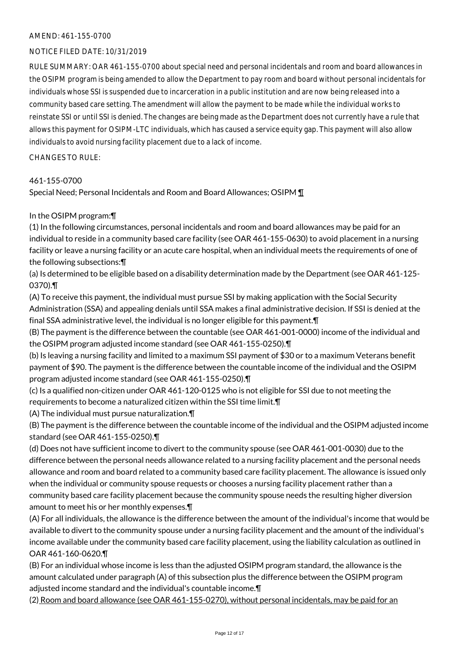### AMEND: 461-155-0700

# NOTICE FILED DATE: 10/31/2019

RULE SUMMARY: OAR 461-155-0700 about special need and personal incidentals and room and board allowances in the OSIPM program is being amended to allow the Department to pay room and board without personal incidentals for individuals whose SSI is suspended due to incarceration in a public institution and are now being released into a community based care setting. The amendment will allow the payment to be made while the individual works to reinstate SSI or until SSI is denied. The changes are being made as the Department does not currently have a rule that allows this payment for OSIPM-LTC individuals, which has caused a service equity gap. This payment will also allow individuals to avoid nursing facility placement due to a lack of income.

#### CHANGES TO RULE:

#### 461-155-0700

Special Need; Personal Incidentals and Room and Board Allowances; OSIPM ¶

#### In the OSIPM program:¶

(1) In the following circumstances, personal incidentals and room and board allowances may be paid for an individual to reside in a community based care facility (see OAR 461-155-0630) to avoid placement in a nursing facility or leave a nursing facility or an acute care hospital, when an individual meets the requirements of one of the following subsections:¶

(a) Is determined to be eligible based on a disability determination made by the Department (see OAR 461-125- 0370).¶

(A) To receive this payment, the individual must pursue SSI by making application with the Social Security Administration (SSA) and appealing denials until SSA makes a final administrative decision. If SSI is denied at the final SSA administrative level, the individual is no longer eligible for this payment.¶

(B) The payment is the difference between the countable (see OAR 461-001-0000) income of the individual and the OSIPM program adjusted income standard (see OAR 461-155-0250).¶

(b) Is leaving a nursing facility and limited to a maximum SSI payment of \$30 or to a maximum Veterans benefit payment of \$90. The payment is the difference between the countable income of the individual and the OSIPM program adjusted income standard (see OAR 461-155-0250).¶

(c) Is a qualified non-citizen under OAR 461-120-0125 who is not eligible for SSI due to not meeting the requirements to become a naturalized citizen within the SSI time limit.¶

(A) The individual must pursue naturalization.¶

(B) The payment is the difference between the countable income of the individual and the OSIPM adjusted income standard (see OAR 461-155-0250).¶

(d) Does not have sufficient income to divert to the community spouse (see OAR 461-001-0030) due to the difference between the personal needs allowance related to a nursing facility placement and the personal needs allowance and room and board related to a community based care facility placement. The allowance is issued only when the individual or community spouse requests or chooses a nursing facility placement rather than a community based care facility placement because the community spouse needs the resulting higher diversion amount to meet his or her monthly expenses.¶

(A) For all individuals, the allowance is the difference between the amount of the individual's income that would be available to divert to the community spouse under a nursing facility placement and the amount of the individual's income available under the community based care facility placement, using the liability calculation as outlined in OAR 461-160-0620.¶

(B) For an individual whose income is less than the adjusted OSIPM program standard, the allowance is the amount calculated under paragraph (A) of this subsection plus the difference between the OSIPM program adjusted income standard and the individual's countable income.¶

(2) Room and board allowance (see OAR 461-155-0270), without personal incidentals, may be paid for an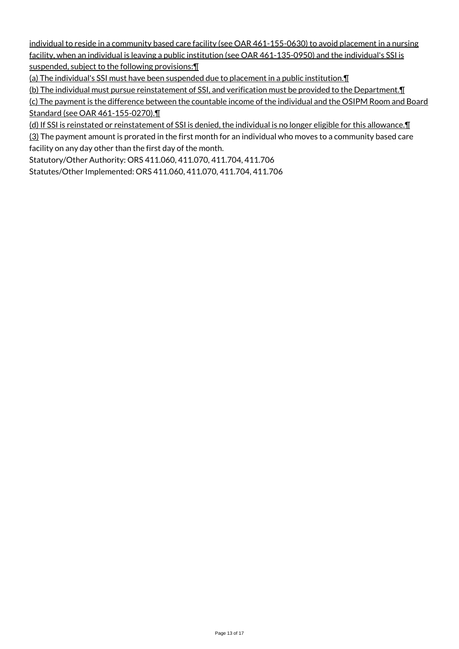individual to reside in a community based care facility (see OAR 461-155-0630) to avoid placement in a nursing facility, when an individual is leaving a public institution (see OAR 461-135-0950) and the individual's SSI is suspended, subject to the following provisions:¶

(a) The individual's SSI must have been suspended due to placement in a public institution.¶

(b) The individual must pursue reinstatement of SSI, and verification must be provided to the Department.¶ (c) The payment is the difference between the countable income of the individual and the OSIPM Room and Board Standard (see OAR 461-155-0270).¶

(d) If SSI is reinstated or reinstatement of SSI is denied, the individual is no longer eligible for this allowance.¶

(3) The payment amount is prorated in the first month for an individual who moves to a community based care facility on any day other than the first day of the month.

Statutory/Other Authority: ORS 411.060, 411.070, 411.704, 411.706

Statutes/Other Implemented: ORS 411.060, 411.070, 411.704, 411.706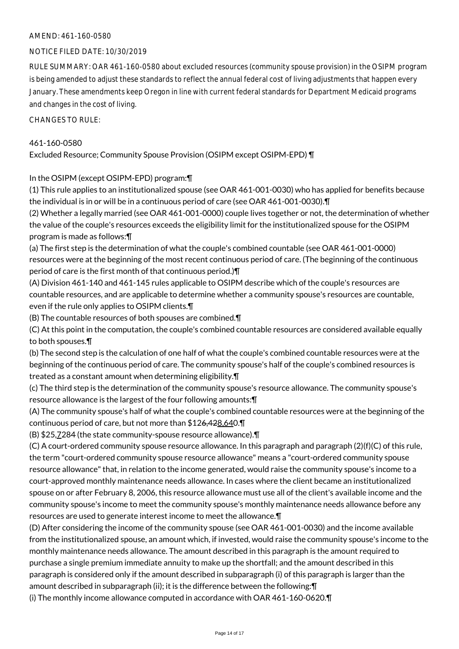# AMEND: 461-160-0580

# NOTICE FILED DATE: 10/30/2019

RULE SUMMARY: OAR 461-160-0580 about excluded resources (community spouse provision) in the OSIPM program is being amended to adjust these standards to reflect the annual federal cost of living adjustments that happen every January. These amendments keep Oregon in line with current federal standards for Department Medicaid programs and changes in the cost of living.

CHANGES TO RULE:

# 461-160-0580

Excluded Resource; Community Spouse Provision (OSIPM except OSIPM-EPD) ¶

In the OSIPM (except OSIPM-EPD) program:¶

(1) This rule applies to an institutionalized spouse (see OAR 461-001-0030) who has applied for benefits because the individual is in or will be in a continuous period of care (see OAR 461-001-0030).¶

(2) Whether a legally married (see OAR 461-001-0000) couple lives together or not, the determination of whether the value of the couple's resources exceeds the eligibility limit for the institutionalized spouse for the OSIPM program is made as follows:¶

(a) The first step is the determination of what the couple's combined countable (see OAR 461-001-0000) resources were at the beginning of the most recent continuous period of care. (The beginning of the continuous period of care is the first month of that continuous period.)¶

(A) Division 461-140 and 461-145 rules applicable to OSIPM describe which of the couple's resources are countable resources, and are applicable to determine whether a community spouse's resources are countable, even if the rule only applies to OSIPM clients.¶

(B) The countable resources of both spouses are combined.¶

(C) At this point in the computation, the couple's combined countable resources are considered available equally to both spouses.¶

(b) The second step is the calculation of one half of what the couple's combined countable resources were at the beginning of the continuous period of care. The community spouse's half of the couple's combined resources is treated as a constant amount when determining eligibility.¶

(c) The third step is the determination of the community spouse's resource allowance. The community spouse's resource allowance is the largest of the four following amounts:¶

(A) The community spouse's half of what the couple's combined countable resources were at the beginning of the continuous period of care, but not more than \$126,428,640.¶

(B) \$25,7284 (the state community-spouse resource allowance).¶

(C) A court-ordered community spouse resource allowance. In this paragraph and paragraph (2)(f)(C) of this rule, the term "court-ordered community spouse resource allowance" means a "court-ordered community spouse resource allowance" that, in relation to the income generated, would raise the community spouse's income to a court-approved monthly maintenance needs allowance. In cases where the client became an institutionalized spouse on or after February 8, 2006, this resource allowance must use all of the client's available income and the community spouse's income to meet the community spouse's monthly maintenance needs allowance before any resources are used to generate interest income to meet the allowance.¶

(D) After considering the income of the community spouse (see OAR 461-001-0030) and the income available from the institutionalized spouse, an amount which, if invested, would raise the community spouse's income to the monthly maintenance needs allowance. The amount described in this paragraph is the amount required to purchase a single premium immediate annuity to make up the shortfall; and the amount described in this paragraph is considered only if the amount described in subparagraph (i) of this paragraph is larger than the amount described in subparagraph (ii); it is the difference between the following:¶

(i) The monthly income allowance computed in accordance with OAR 461-160-0620.¶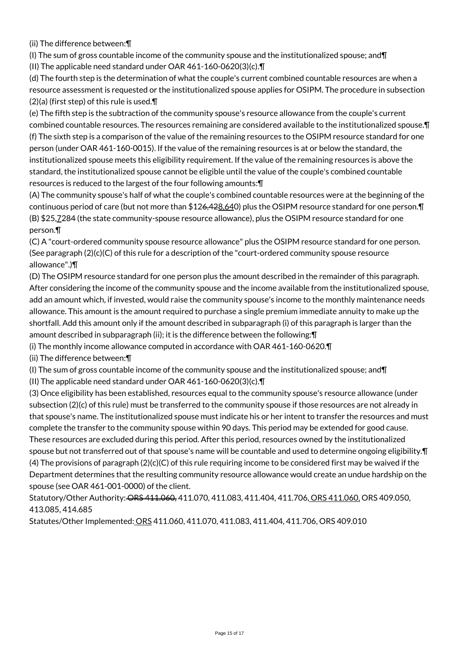(ii) The difference between:¶

(I) The sum of gross countable income of the community spouse and the institutionalized spouse; and  $\P$ 

(II) The applicable need standard under OAR 461-160-0620(3)(c).¶

(d) The fourth step is the determination of what the couple's current combined countable resources are when a resource assessment is requested or the institutionalized spouse applies for OSIPM. The procedure in subsection  $(2)(a)$  (first step) of this rule is used. $\P$ 

(e) The fifth step is the subtraction of the community spouse's resource allowance from the couple's current combined countable resources. The resources remaining are considered available to the institutionalized spouse.¶ (f) The sixth step is a comparison of the value of the remaining resources to the OSIPM resource standard for one person (under OAR 461-160-0015). If the value of the remaining resources is at or below the standard, the institutionalized spouse meets this eligibility requirement. If the value of the remaining resources is above the standard, the institutionalized spouse cannot be eligible until the value of the couple's combined countable resources is reduced to the largest of the four following amounts:¶

(A) The community spouse's half of what the couple's combined countable resources were at the beginning of the continuous period of care (but not more than \$126,428,640) plus the OSIPM resource standard for one person.¶ (B) \$25,7284 (the state community-spouse resource allowance), plus the OSIPM resource standard for one person.¶

(C) A "court-ordered community spouse resource allowance" plus the OSIPM resource standard for one person. (See paragraph  $(2)(c)(C)$  of this rule for a description of the "court-ordered community spouse resource allowance".)¶

(D) The OSIPM resource standard for one person plus the amount described in the remainder of this paragraph. After considering the income of the community spouse and the income available from the institutionalized spouse, add an amount which, if invested, would raise the community spouse's income to the monthly maintenance needs allowance. This amount is the amount required to purchase a single premium immediate annuity to make up the shortfall. Add this amount only if the amount described in subparagraph (i) of this paragraph is larger than the amount described in subparagraph (ii); it is the difference between the following:¶

(i) The monthly income allowance computed in accordance with OAR 461-160-0620.¶

(ii) The difference between:¶

(I) The sum of gross countable income of the community spouse and the institutionalized spouse; and¶

(II) The applicable need standard under OAR 461-160-0620(3)(c).¶

(3) Once eligibility has been established, resources equal to the community spouse's resource allowance (under subsection (2)(c) of this rule) must be transferred to the community spouse if those resources are not already in that spouse's name. The institutionalized spouse must indicate his or her intent to transfer the resources and must complete the transfer to the community spouse within 90 days. This period may be extended for good cause. These resources are excluded during this period. After this period, resources owned by the institutionalized spouse but not transferred out of that spouse's name will be countable and used to determine ongoing eligibility.¶ (4) The provisions of paragraph  $(2)(c)(C)$  of this rule requiring income to be considered first may be waived if the Department determines that the resulting community resource allowance would create an undue hardship on the spouse (see OAR 461-001-0000) of the client.

Statutory/Other Authority: ORS 411.060, 411.070, 411.083, 411.404, 411.706, ORS 411.060, ORS 409.050, 413.085, 414.685

Statutes/Other Implemented: ORS 411.060, 411.070, 411.083, 411.404, 411.706, ORS 409.010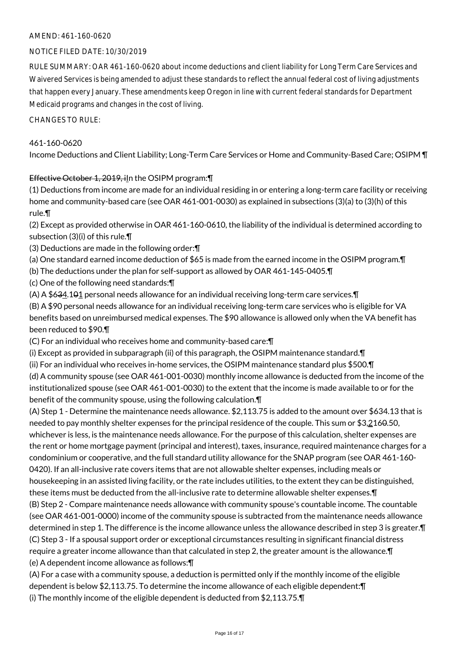# AMEND: 461-160-0620

# NOTICE FILED DATE: 10/30/2019

RULE SUMMARY: OAR 461-160-0620 about income deductions and client liability for Long Term Care Services and Waivered Services is being amended to adjust these standards to reflect the annual federal cost of living adjustments that happen every January. These amendments keep Oregon in line with current federal standards for Department Medicaid programs and changes in the cost of living.

CHANGES TO RULE:

#### 461-160-0620

Income Deductions and Client Liability; Long-Term Care Services or Home and Community-Based Care; OSIPM ¶

# Effective October 1, 2019, iln the OSIPM program: []

(1) Deductions from income are made for an individual residing in or entering a long-term care facility or receiving home and community-based care (see OAR 461-001-0030) as explained in subsections (3)(a) to (3)(h) of this rule.¶

(2) Except as provided otherwise in OAR 461-160-0610, the liability of the individual is determined according to subsection (3)(i) of this rule.¶

- (3) Deductions are made in the following order:¶
- (a) One standard earned income deduction of \$65 is made from the earned income in the OSIPM program.¶
- (b) The deductions under the plan for self-support as allowed by OAR 461-145-0405.¶
- (c) One of the following need standards:¶
- (A) A \$634.101 personal needs allowance for an individual receiving long-term care services.¶

(B) A \$90 personal needs allowance for an individual receiving long-term care services who is eligible for VA benefits based on unreimbursed medical expenses. The \$90 allowance is allowed only when the VA benefit has been reduced to \$90.¶

(C) For an individual who receives home and community-based care:¶

(i) Except as provided in subparagraph (ii) of this paragraph, the OSIPM maintenance standard.¶

(ii) For an individual who receives in-home services, the OSIPM maintenance standard plus \$500.¶

(d) A community spouse (see OAR 461-001-0030) monthly income allowance is deducted from the income of the institutionalized spouse (see OAR 461-001-0030) to the extent that the income is made available to or for the benefit of the community spouse, using the following calculation.¶

(A) Step 1 - Determine the maintenance needs allowance. \$2,113.75 is added to the amount over \$634.13 that is needed to pay monthly shelter expenses for the principal residence of the couple. This sum or \$3,2160.50, whichever is less, is the maintenance needs allowance. For the purpose of this calculation, shelter expenses are the rent or home mortgage payment (principal and interest), taxes, insurance, required maintenance charges for a condominium or cooperative, and the full standard utility allowance for the SNAP program (see OAR 461-160- 0420). If an all-inclusive rate covers items that are not allowable shelter expenses, including meals or housekeeping in an assisted living facility, or the rate includes utilities, to the extent they can be distinguished, these items must be deducted from the all-inclusive rate to determine allowable shelter expenses.¶ (B) Step 2 - Compare maintenance needs allowance with community spouse's countable income. The countable (see OAR 461-001-0000) income of the community spouse is subtracted from the maintenance needs allowance determined in step 1. The difference is the income allowance unless the allowance described in step 3 is greater.¶ (C) Step 3 - If a spousal support order or exceptional circumstances resulting in significant financial distress require a greater income allowance than that calculated in step 2, the greater amount is the allowance.¶ (e) A dependent income allowance as follows:¶

(A) For a case with a community spouse, a deduction is permitted only if the monthly income of the eligible dependent is below \$2,113.75. To determine the income allowance of each eligible dependent:¶ (i) The monthly income of the eligible dependent is deducted from \$2,113.75.¶